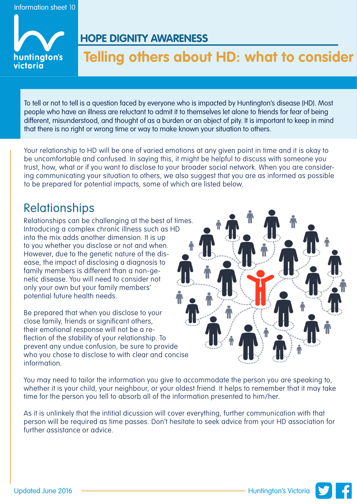

### **HOPE DIGNITY AWARENESS**

# **Telling others about HD: what to consider**

To tell or not to tell is a question faced by everyone who is impacted by Huntington's disease (HD). Most people who have an illness are reluctant to admit it to themselves let alone to friends for fear of being different, misunderstood, and thought of as a burden or an object of pity. It is important to keep in mind that there is no right or wrong time or way to make known your situation to others.

Your relationship to HD will be one of varied emotions at any given point in time and it is okay to be uncomfortable and confused. In saying this, it might be helpful to discuss with someone you trust, how, what or if you want to disclose to your broader social network. When you are considering communicating your situation to others, we also suggest that you are as informed as possible to be prepared for potential impacts, some of which are listed below.

## Relationships

Relationships can be challenging at the best of times. Introducing a complex chronic illness such as HD into the mix adds another dimension. It is up to you whether you disclose or not and when. However, due to the genetic nature of the disease, the impact of disclosing a diagnosis to family members is different than a non-genetic disease. You will need to consider not only your own but your family members' potential future health needs.

Be prepared that when you disclose to your close family, friends or significant others, their emotional response will not be a reflection of the stability of your relationship. To prevent any undue confusion, be sure to provide who you chose to disclose to with clear and concise information.



You may need to tailor the information you give to accommodate the person you are speaking to, whether it is your child, your neighbour, or your oldest friend. It helps to remember that it may take time for the person you tell to absorb all of the information presented to him/her.

As it is unlinkely that the intitial dicussion will cover everything, further communication with that person will be required as time passes. Don't hesitate to seek advice from your HD association for further assistance or advice.